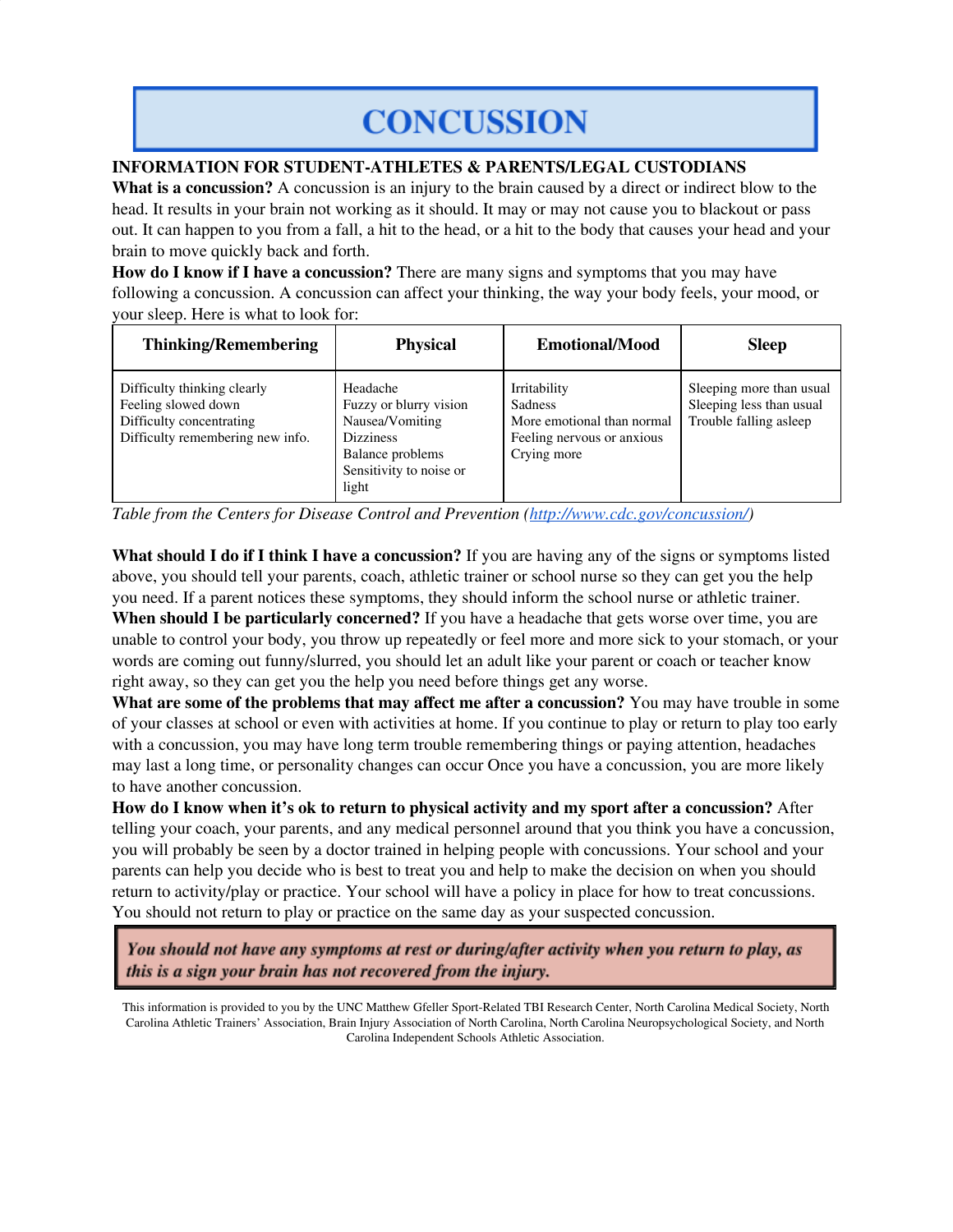## **CONCUSSION**

**INFORMATION FOR STUDENT-ATHLETES & PARENTS/LEGAL CUSTODIANS**

**What is a concussion?** A concussion is an injury to the brain caused by a direct or indirect blow to the head. It results in your brain not working as it should. It may or may not cause you to blackout or pass out. It can happen to you from a fall, a hit to the head, or a hit to the body that causes your head and your brain to move quickly back and forth.

**How do I know if I have a concussion?** There are many signs and symptoms that you may have following a concussion. A concussion can affect your thinking, the way your body feels, your mood, or your sleep. Here is what to look for:

| <b>Thinking/Remembering</b>                                                                                        | <b>Physical</b>                                                                                                                   | <b>Emotional/Mood</b>                                                                                     | <b>Sleep</b>                                                                   |
|--------------------------------------------------------------------------------------------------------------------|-----------------------------------------------------------------------------------------------------------------------------------|-----------------------------------------------------------------------------------------------------------|--------------------------------------------------------------------------------|
| Difficulty thinking clearly<br>Feeling slowed down<br>Difficulty concentrating<br>Difficulty remembering new info. | Headache<br>Fuzzy or blurry vision<br>Nausea/Vomiting<br><b>Dizziness</b><br>Balance problems<br>Sensitivity to noise or<br>light | Irritability<br><b>Sadness</b><br>More emotional than normal<br>Feeling nervous or anxious<br>Crying more | Sleeping more than usual<br>Sleeping less than usual<br>Trouble falling asleep |

*Table from the Centers for Disease Control and Prevention (http://www.cdc.gov/concussion/)*

**What should I do if I think I have a concussion?** If you are having any of the signs or symptoms listed above, you should tell your parents, coach, athletic trainer or school nurse so they can get you the help you need. If a parent notices these symptoms, they should inform the school nurse or athletic trainer. **When should I be particularly concerned?** If you have a headache that gets worse over time, you are

unable to control your body, you throw up repeatedly or feel more and more sick to your stomach, or your words are coming out funny/slurred, you should let an adult like your parent or coach or teacher know right away, so they can get you the help you need before things get any worse.

**What are some of the problems that may affect me after a concussion?** You may have trouble in some of your classes at school or even with activities at home. If you continue to play or return to play too early with a concussion, you may have long term trouble remembering things or paying attention, headaches may last a long time, or personality changes can occur Once you have a concussion, you are more likely to have another concussion.

**How do I know when it's ok to return to physical activity and my sport after a concussion?** After telling your coach, your parents, and any medical personnel around that you think you have a concussion, you will probably be seen by a doctor trained in helping people with concussions. Your school and your parents can help you decide who is best to treat you and help to make the decision on when you should return to activity/play or practice. Your school will have a policy in place for how to treat concussions. You should not return to play or practice on the same day as your suspected concussion.

You should not have any symptoms at rest or during/after activity when you return to play, as this is a sign your brain has not recovered from the injury.

This information is provided to you by the UNC Matthew Gfeller Sport-Related TBI Research Center, North Carolina Medical Society, North Carolina Athletic Trainers' Association, Brain Injury Association of North Carolina, North Carolina Neuropsychological Society, and North Carolina Independent Schools Athletic Association.